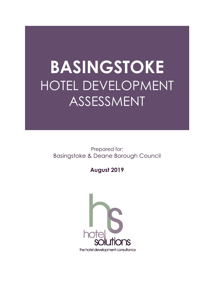## **BASINGSTOKE** HOTEL DEVELOPMENT ASSESSMENT

 Prepared for: Basingstoke & Deane Borough Council

 **August 2019** 

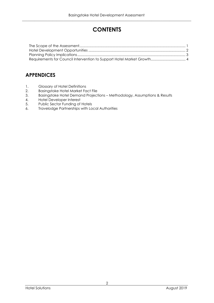## **CONTENTS**

## **APPENDICES**

- 1. Glossary of Hotel Definitions
- 2. Basingstoke Hotel Market Fact File
- 3. Basingstoke Hotel Demand Projections Methodology, Assumptions & Results
- 4. Hotel Developer Interest
- 5. Public Sector Funding of Hotels
- 6. Travelodge Partnerships with Local Authorities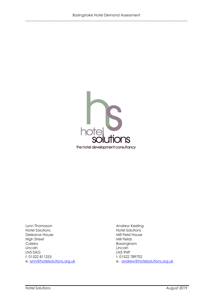

Lynn Thomason **Hotel Solutions** Deleanor House **Mill Field House** High Street **Mill Fields** Coleby Lincoln LN5 0AG t. 01522 811255 e. lynn@hotelsolutions.org.uk

Andrew Keeling Hotel Solutions<br>Mill Field House Bassingham Lincoln **LN5 9NP** t. 01522 789702 e. andrew@hotelsolutions.org.uk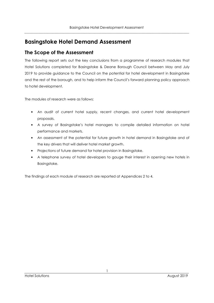## **Basingstoke Hotel Demand Assessment**

## **The Scope of the Assessment**

 The following report sets out the key conclusions from a programme of research modules that Hotel Solutions completed for Basingstoke & Deane Borough Council between May and July 2019 to provide guidance to the Council on the potential for hotel development in Basingstoke and the rest of the borough, and to help inform the Council's forward planning policy approach to hotel development.

The modules of research were as follows:

- • An audit of current hotel supply, recent changes, and current hotel development proposals.
- • A survey of Basingstoke's hotel managers to compile detailed information on hotel performance and markets.
- • An assessment of the potential for future growth in hotel demand in Basingstoke and of the key drivers that will deliver hotel market growth.
- Projections of future demand for hotel provision in Basingstoke.
- • A telephone survey of hotel developers to gauge their interest in opening new hotels in Basingstoke.

The findings of each module of research are reported at Appendices 2 to 4.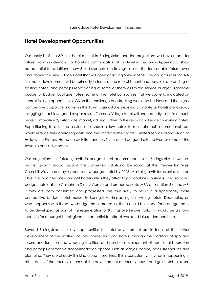## **Hotel Development Opportunities**

 Our analysis of the 3/4-star hotel market in Basingstoke, and the projections we have made for future growth in demand for hotel accommodation at this level in the town (Appendix 3) show no potential for additional new 3 or 4-star hotels in Basingstoke for the foreseeable future, over and above the new Village Hotel that will open at Basing View in 2020. The opportunities for 3/4- star hotel development will be primarily in terms of the refurbishment and possible re-branding of existing hotels, and perhaps repositioning of some of them as limited service budget, upper-tier budget or budget boutique hotels. Some of the hotel companies that we spoke to indicated an interest in such opportunities. Given the challenge of attracting weekend business and the highly competitive corporate market in the town, Basingstoke's existing 3 and 4-star hotels are already struggling to achieve good revpar results. The new Village Hotel will undoubtedly result in a much more competitive 3/4-star hotel market, adding further to the revpar challenge for existing hotels. Repositioning to a limited service offer should allow hotels to maintain their income levels but would reduce their operating costs and thus increase their profits. Limited service brands such as Holiday Inn Express, Hampton by Hilton and Ibis Styles could be good alternatives for some of the town's 3 and 4-star hotels,

 Our projections for future growth in budget hotel accommodation in Basingstoke show that market growth should support the consented additional bedrooms at the Premier Inn West Churchill Way, and may support a new budget hotel by 2025. Market growth looks unlikely to be able to support two new budget hotels unless they attract significant new business. The proposed budget hotels at the Chineham District Centre and proposed Moto MSA at Junction 6 of the M3, if they are both consented and progressed, are thus likely to result in a significantly more competitive budget hotel market in Basingstoke, impacting on existing hotels. Depending on what happens with these two budget hotel proposals, there could be scope for a budget hotel to be developed as part of the regeneration of Basingstoke Leisure Park. This would be a strong location for a budget hotel, given the potential to attract weekend leisure demand here.

 Beyond Basingstoke, the key opportunities for hotel development are in terms of the further development of the existing country house and golf hotels, through the addition of spa and leisure and function and wedding facilities, and possible development of additional bedrooms and perhaps alternative accommodation options such as lodges, cabins, pods, treehouses and glamping. They are already thinking along these lines. This is consistent with what is happening in other parts of the country in terms of the development of country house and golf hotels as resort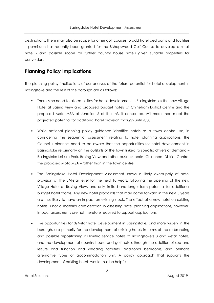destinations. There may also be scope for other golf courses to add hotel bedrooms and facilities – permission has recently been granted for the Bishopswood Golf Course to develop a small hotel - and possible scope for further country house hotels given suitable properties for conversion.

## **Planning Policy Implications**

 The planning policy implications of our analysis of the future potential for hotel development in Basingstoke and the rest of the borough are as follows:

- • There is no need to allocate sites for hotel development in Basingstoke, as the new Village Hotel at Basing View and proposed budget hotels at Chineham District Centre and the proposed Moto MSA at Junction 6 of the m3, if consented, will more than meet the projected potential for additional hotel provision through until 2030.
- • While national planning policy guidance identifies hotels as a town centre use, in considering the sequential assessment relating to hotel planning applications, the Council's planners need to be aware that the opportunities for hotel development in Basingstoke re primarily on the outskirts of the town linked to specific drivers of demand – Basingstoke Leisure Park, Basing View and other business parks, Chineham District Centre, the proposed Moto MSA – rather than in the town centre.
- The Basingstoke Hotel Development Assessment shows a likely oversupply of hotel provision at the 3/4-star level for the next 10 years, following the opening of the new Village Hotel at Basing View, and only limited and longer-term potential for additional budget hotel rooms. Any new hotel proposals that may come forward in the next 5 years are thus likely to have an impact on existing stock. The effect of a new hotel on existing hotels is not a material consideration in assessing hotel planning applications, however. Impact assessments are not therefore required to support applications.
- • The opportunities for 3/4-star hotel development in Basingstoke, and more widely in the borough, are primarily for the development of existing hotels in terms of the re-branding and possible repositioning as limited service hotels of Basingstoke's 3 and 4-star hotels, and the development of country house and golf hotels through the addition of spa and leisure and function and wedding facilities, additional bedrooms, and perhaps alternative types of accommodation unit. A policy approach that supports the development of existing hotels would thus be helpful.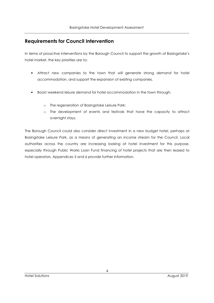## **Requirements for Council Intervention**

 In terms of proactive interventions by the Borough Council to support the growth of Basingstoke's hotel market, the key priorities are to:

- • Attract new companies to the town that will generate strong demand for hotel accommodation, and support the expansion of existing companies.
- • Boost weekend leisure demand for hotel accommodation in the town through:
	- o The regeneration of Basingstoke Leisure Park;
	- o The development of events and festivals that have the capacity to attract overnight stays.

 The Borough Council could also consider direct investment in a new budget hotel, perhaps at Basingstoke Leisure Park, as a means of generating an income stream for the Council. Local authorities across the country are increasing looking at hotel investment for this purpose, especially through Public Works Loan Fund financing of hotel projects that are then leased to hotel operators. Appendices 5 and 6 provide further information.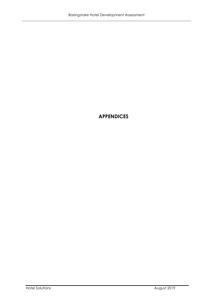## **APPENDICES**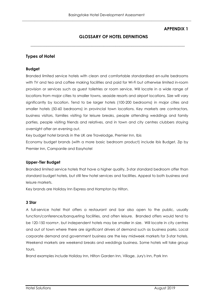## **APPENDIX 1**

## **LOSSARY OF HOTEL DEFINITIONS**

**\_\_\_\_\_\_\_\_\_\_\_\_\_\_\_\_\_\_\_\_\_\_\_\_\_\_\_\_\_\_\_\_\_\_\_\_\_\_\_\_\_\_\_\_\_\_\_\_\_\_\_\_\_\_\_\_\_\_\_\_\_\_\_\_\_\_\_\_\_\_\_\_\_\_\_\_\_\_** 

### **Types of Hotel**

#### **Budget**

 Branded limited service hotels with clean and comfortable standardised en-suite bedrooms with TV and tea and coffee making facilities and paid for Wi-Fi but otherwise limited in-room provision or services such as guest toiletries or room service. Will locate in a wide range of locations from major cities to smaller towns, seaside resorts and airport locations. Size will vary significantly by location. Tend to be larger hotels (100-200 bedrooms) in major cities and smaller hotels (50-60 bedrooms) in provincial town locations. Key markets are contractors, business visitors, families visiting for leisure breaks, people attending weddings and family parties, people visiting friends and relatives, and in town and city centres clubbers staying overnight after an evening out.

Key budget hotel brands in the UK are Travelodge, Premier Inn, Ibis

 Economy budget brands (with a more basic bedroom product) include Ibis Budget, Zip by Premier Inn, Campanile and Easyhotel

#### **Upper-Tier Budget**

 Branded limited service hotels that have a higher quality, 3-star standard bedroom offer than standard budget hotels, but still few hotel services and facilities. Appeal to both business and leisure markets.

Key brands are Holiday Inn Express and Hampton by Hilton.

#### **3 Star**

 A full-service hotel that offers a restaurant and bar also open to the public, usually function/conference/banqueting facilities, and often leisure. Branded offers would tend to be 120-150 rooms+, but independent hotels may be smaller in size. Will locate in city centres and out of town where there are significant drivers of demand such as business parks. Local corporate demand and government business are the key midweek markets for 3-star hotels. Weekend markets are weekend breaks and weddings business. Some hotels will take group tours.

Brand examples include Holiday Inn, Hilton Garden Inn, Village, Jury's Inn, Park Inn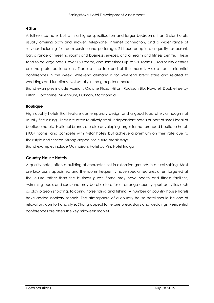#### **4 Star**

 A full-service hotel but with a higher specification and larger bedrooms than 3 star hotels, usually offering bath and shower, telephone, internet connection, and a wider range of services including full room service and porterage, 24-hour reception, a quality restaurant, bar, a range of meeting rooms and business services, and a health and fitness centre. These tend to be large hotels, over 150 rooms, and sometimes up to 250 rooms+. Major city centres are the preferred locations. Trade at the top end of the market. Also attract residential conferences in the week. Weekend demand is for weekend break stays and related to weddings and functions. Not usually in the group tour market.

Brand examples include Marriott, Crowne Plaza, Hilton, Radisson Blu, Novotel, Doubletree by Hilton, Copthorne, Millennium, Pullman, Macdonald

#### **Boutique**

 High quality hotels that feature contemporary design and a good food offer, although not usually fine dining. They are often relatively small independent hotels or part of small local of boutique hotels. National brands are also developing larger format branded boutique hotels (100+ rooms) and compete with 4-star hotels but achieve a premium on their rate due to their style and service. Strong appeal for leisure break stays. Brand examples include Malmaison, Hotel du Vin, Hotel Indigo

#### **Country House Hotels**

 A quality hotel, often a building of character, set in extensive grounds in a rural setting. Most are luxuriously appointed and the rooms frequently have special features often targeted at the leisure rather than the business guest. Some may have health and fitness facilities, swimming pools and spas and may be able to offer or arrange country sport activities such as clay pigeon shooting, falconry, horse riding and fishing. A number of country house hotels have added cookery schools. The atmosphere of a country house hotel should be one of relaxation, comfort and style. Strong appeal for leisure break stays and weddings. Residential conferences are often the key midweek market.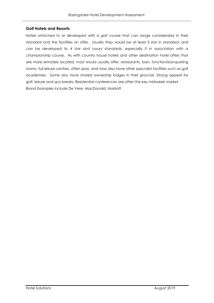#### **olf Hotels and Resorts**

 Hotels attached to or developed with a golf course that can range considerably in their standard and the facilities on offer. Usually they would be at least 3 star in standard, and can be developed to 4 star and luxury standards, especially if in association with a championship course. As with country house hotels and other destination hotel offers that are more remotely located, most would usually offer, restaurants, bars, function/banqueting rooms, full leisure centres, often spas, and may also have other specialist facilities such as golf academies. Some also have shared ownership lodges in their grounds. Strong appeal for golf, leisure and spa breaks. Residential conferences are often the key midweek market. Brand Examples include De Vere, MacDonald, Marriott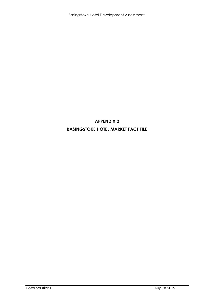## **APPENDIX 2 BASIN STOKE HOTEL MARKET FACT FILE**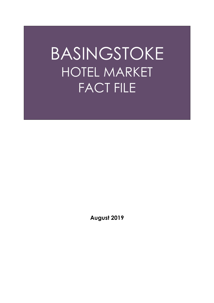# BASINGSTOKE HOTEL MARKET FACT FILE

 **August 2019**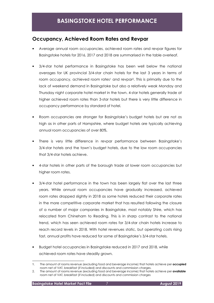## **Occupancy, Achieved Room Rates and Revpar**

- • Average annual room occupancies, achieved room rates and revpar figures for Basingstoke hotels for 2016, 2017 and 2018 are summarised in the table overleaf.
- • 3/4-star hotel performance in Basingstoke has been well below the national averages for UK provincial 3/4-star chain hotels for the last 3 years in terms of room occupancy, achieved room rates<sup>1</sup> and revpar<sup>2</sup>. This is primarily due to the lack of weekend demand in Basingstoke but also a relatively weak Monday and Thursday night corporate hotel market in the town. 4-star hotels generally trade at higher achieved room rates than 3-star hotels but there is very little difference in occupancy performance by standard of hotel.
- • Room occupancies are stronger for Basingstoke's budget hotels but are not as high as in other parts of Hampshire, where budget hotels are typically achieving annual room occupancies of over 80%.
- • There is very little difference in revpar performance between Basingstoke's 3/4-star hotels and the town's budget hotels, due to the low room occupancies that 3/4-star hotels achieve.
- • 4-star hotels in other parts of the borough trade at lower room occupancies but higher room rates.
- • 3/4-star hotel performance in the town has been largely flat over the last three years. While annual room occupancies have gradually increased, achieved room rates dropped slightly in 2018 as some hotels reduced their corporate rates in the more competitive corporate market that has resulted following the closure of a number of major companies in Basingstoke, most notably Shire, which has relocated from Chineham to Reading. This is in sharp contrast to the national trend, which has seen achieved room rates for 3/4-star chain hotels increase to reach record levels in 2018. With hotel revenues static, but operating costs rising fast, annual profits have reduced for some of Basingstoke's 3/4-star hotels.
- • Budget hotel occupancies in Basingstoke reduced in 2017 and 2018, while achieved room rates have steadily grown.

 1. The amount of rooms revenue (excluding food and beverage income) that hotels achieve per **occupied**  room net of VAT, breakfast (if included) and discounts and commission charges.

 2. The amount of rooms revenue (excluding food and beverage income) that hotels achieve per **available**  room net of VAT, breakfast (if included) and discounts and commission charges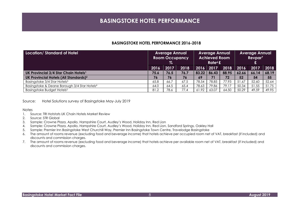#### **BASIN STOKE HOTEL PERFORMANCE 2016-2018**

| Location/Standard of Hotel                               | <b>Average Annual</b><br><b>Room Occupancy</b><br>% |      |      | <b>Average Annual</b><br><b>Achieved Room</b><br>Rate <sup>6</sup> £ |       |       | <b>Average Annual</b><br>Revpar <sup>7</sup><br>£ |       |       |
|----------------------------------------------------------|-----------------------------------------------------|------|------|----------------------------------------------------------------------|-------|-------|---------------------------------------------------|-------|-------|
|                                                          | 2016                                                | 2017 | 2018 | 2016                                                                 | 2017  | 2018  | 2016                                              | 2017  | 2018  |
| UK Provincial 3/4 Star Chain Hotels <sup>1</sup>         | 75.6                                                | 76.5 | 76.7 | 83.22                                                                | 86.43 | 88.95 | 62.66                                             | 66.14 | 68.19 |
| UK Provincial Hotels (All Standards) <sup>2</sup>        | 76                                                  | 76   | 76   | 69                                                                   | 71    | 72    | 52                                                | 54    | 55    |
| Basingstoke 3/4 Star Hotels <sup>3</sup>                 | 65.8                                                | 66.7 | 67.5 | 78.54                                                                | 78.85 | 77.93 | 51.67                                             | 52.60 | 52.64 |
| Basingstoke & Deane Borough 3/4 Star Hotels <sup>4</sup> | 64.0                                                | 64.5 | 65.4 | 78.63                                                                | 79.86 | 79.17 | 50.34                                             | 51.55 | 51.75 |
| Basingstoke Budget Hotels <sup>5</sup>                   | 81.2                                                | 78.6 | 77.4 | 61.92                                                                | 63.07 | 64.50 | 50.29                                             | 49.59 | 49.95 |

Source: Hotel Solutions survey of Basingstoke May-July 2019

Notes

- 1. Source: TRI Hotstats UK Chain Hotels Market Review
- 2. Source: STR Global
- 3. Sample: Crowne Plaza, Apollo, Hampshire Court, Audley's Wood, Holiday Inn, Red Lion
- 4. Sample: Crowne Plaza, Apollo, Hampshire Court, Audley's Wood, Holiday Inn, Red Lion, Sandford Springs, Oakley Hall
- 5. Sample: Premier Inn Basingstoke West Churchill Way, Premier Inn Basingstoke Town Centre, Travelodge Basingstoke
- 6. The amount of rooms revenue (excluding food and beverage income) that hotels achieve per occupied room net of VAT, breakfast (if included) and discounts and commission charges.
- 7. The amount of rooms revenue (excluding food and beverage income) that hotels achieve per available room net of VAT, breakfast (if included) and discounts and commission charges.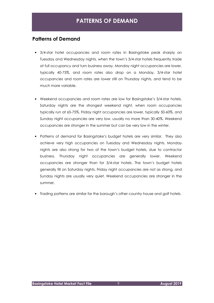## **Patterns of Demand**

- • 3/4-star hotel occupancies and room rates in Basingstoke peak sharply on Tuesday and Wednesday nights, when the town's 3/4-star hotels frequently trade at full occupancy and turn business away. Monday night occupancies are lower, typically 40-75%, and room rates also drop on a Monday. 3/4-star hotel occupancies and room rates are lower still on Thursday nights, and tend to be much more variable.
- • Weekend occupancies and room rates are low for Basingstoke's 3/4-star hotels. Saturday nights are the strongest weekend night, when room occupancies typically run at 65-75%. Friday night occupancies are lower, typically 50-60%, and Sunday night occupancies are very low, usually no more than 30-40%. Weekend occupancies are stronger in the summer but can be very low in the winter.
- • Patterns of demand for Basingstoke's budget hotels are very similar. They also achieve very high occupancies on Tuesday and Wednesday nights. Monday nights are also strong for two of the town's budget hotels, due to contractor business. Thursday night occupancies are generally lower. Weekend occupancies are stronger than for 3/4-star hotels. The town's budget hotels generally fill on Saturday nights. Friday night occupancies are not as strong, and Sunday nights are usually very quiet. Weekend occupancies are stronger in the summer.
- Trading patterns are similar for the borough's other country house and golf hotels.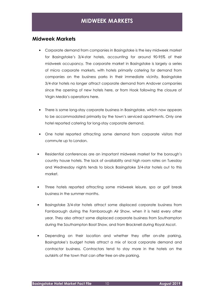## **Midweek Markets**

- • Corporate demand from companies in Basingstoke is the key midweek market for Basingstoke's 3/4-star hotels, accounting for around 90-95% of their midweek occupancy. The corporate market in Basingstoke is largely a series of micro corporate markets, with hotels primarily catering for demand from companies on the business parks in their immediate vicinity. Basingstoke 3/4-star hotels no longer attract corporate demand from Andover companies since the opening of new hotels here, or from Hook following the closure of Virgin Media's operations here.
- • There is some long-stay corporate business in Basingstoke, which now appears to be accommodated primarily by the town's serviced apartments. Only one hotel reported catering for long-stay corporate demand.
- • One hotel reported attracting some demand from corporate visitors that commute up to London.
- • Residential conferences are an important midweek market for the borough's country house hotels. The lack of availability and high room rates on Tuesday and Wednesday nights tends to block Basingstoke 3/4-star hotels out to this market.
- • Three hotels reported attracting some midweek leisure, spa or golf break business in the summer months.
- • Basingstoke 3/4-star hotels attract some displaced corporate business from Farnborough during the Farnborough Air Show, when it is held every other year. They also attract some displaced corporate business from Southampton during the Southampton Boat Show, and from Bracknell during Royal Ascot.
- Depending on their location and whether they offer on-site parking, Basingstoke's budget hotels attract a mix of local corporate demand and contractor business. Contractors tend to stay more in the hotels on the outskirts of the town that can offer free on-site parking.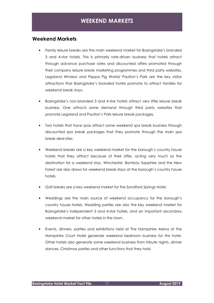## **Weekend Markets**

- • Family leisure breaks are the main weekend market for Basingstoke's branded 3 and 4-star hotels. This is primarily rate-driven business that hotels attract through advance purchase rates and discounted offers promoted through their company leisure break marketing programmes and third party websites. Legoland Windsor and Peppa Pig World/ Paulton's Park are the key visitor attractions that Basingstoke's branded hotels promote to attract families for weekend break stays.
- • Basingstoke's non-branded 3 and 4-star hotels attract very little leisure break business. One attracts some demand through third party websites that promote Legoland and Paulton's Park leisure break packages.
- • Two hotels that have spas attract some weekend spa break business through discounted spa break packages that they promote through the main spa break deal sites.
- • Weekend breaks are a key weekend market for the borough's country house hotels that they attract because of their offer, acting very much as the destination for a weekend stay. Winchester, Bombay Sapphire and the New Forest are also draws for weekend break stays at the borough's country house hotels.
- Golf breaks are a key weekend market for the Sandford Springs Hotel.
- • Weddings are the main source of weekend occupancy for the borough's country house hotels. Wedding parties are also the key weekend market for Basingstoke's independent 3 and 4-star hotels, and an important secondary weekend market for other hotels in the town.
- • Events, dinners, parties and exhibitions held at The Hampshire Arena at the Hampshire Court Hotel generate weekend bedroom business for this hotel. Other hotels also generate some weekend business from tribute nights, dinner dances, Christmas parties and other functions that they hold.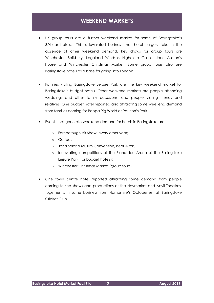## **WEEKEND MARKETS**

- • UK group tours are a further weekend market for some of Basingstoke's 3/4-star hotels. This is low-rated business that hotels largely take in the absence of other weekend demand. Key draws for group tours are Winchester, Salisbury, Legoland Windsor, Highclere Castle, Jane Austen's house and Winchester Christmas Market. Some group tours also use Basingstoke hotels as a base for going into London.
- • Families visiting Basingstoke Leisure Park are the key weekend market for Basingstoke's budget hotels. Other weekend markets are people attending weddings and other family occasions, and people visiting friends and relatives. One budget hotel reported also attracting some weekend demand from families coming for Peppa Pig World at Paulton's Park.
- • Events that generate weekend demand for hotels in Basingstoke are:
	- o Farnborough Air Show, every other year;
	- o Carfest;
	- o Jalsa Salana Muslim Convention, near Alton;
	- o Ice skating competitions at the Planet Ice Arena at the Basingstoke Leisure Park (for budget hotels);
	- o Winchester Christmas Market (group tours).
- • One town centre hotel reported attracting some demand from people coming to see shows and productions at the Haymarket and Anvil Theatres, together with some business from Hampshire's Octoberfest at Basingstoke Cricket Club.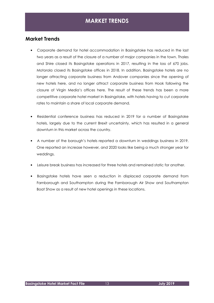## **MARKET TRENDS**

## **Market Trends**

- • Corporate demand for hotel accommodation in Basingstoke has reduced in the last two years as a result of the closure of a number of major companies in the town. Thales and Shire closed its Basingstoke operations in 2017, resulting in the loss of 670 jobs. Motorola closed its Basingstoke offices in 2018. In addition, Basingstoke hotels are no longer attracting corporate business from Andover companies since the opening of new hotels here, and no longer attract corporate business from Hook following the closure of Virgin Media's offices here. The result of these trends has been a more competitive corporate hotel market in Basingstoke, with hotels having to cut corporate rates to maintain a share of local corporate demand.
- • Residential conference business has reduced in 2019 for a number of Basingstoke hotels, largely due to the current Brexit uncertainty, which has resulted in a general downturn in this market across the country.
- • A number of the borough's hotels reported a downturn in weddings business in 2019. One reported an increase however, and 2020 looks like being a much stronger year for weddings.
- Leisure break business has increased for three hotels and remained static for another.
- • Basingstoke hotels have seen a reduction in displaced corporate demand from Farnborough and Southampton during the Farnborough Air Show and Southampton Boat Show as a result of new hotel openings in these locations.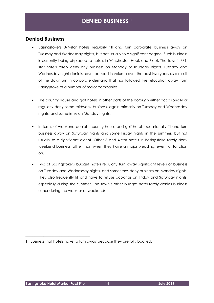## **DENIED BUSINESS <sup>1</sup>**

## **Denied Business**

- • Basingstoke's 3/4-star hotels regularly fill and turn corporate business away on Tuesday and Wednesday nights, but not usually to a significant degree. Such business is currently being displaced to hotels in Winchester, Hook and Fleet. The town's 3/4- star hotels rarely deny any business on Monday or Thursday nights. Tuesday and Wednesday night denials have reduced in volume over the past two years as a result of the downturn in corporate demand that has followed the relocation away from Basingstoke of a number of major companies.
- • The country house and golf hotels in other parts of the borough either occasionally or regularly deny some midweek business, again primarily on Tuesday and Wednesday nights, and sometimes on Monday nights.
- • In terms of weekend denials, country house and golf hotels occasionally fill and turn business away on Saturday nights and some Friday nights in the summer, but not usually to a significant extent. Other 3 and 4-star hotels in Basingstoke rarely deny weekend business, other than when they have a major wedding, event or function on.
- • Two of Basingstoke's budget hotels regularly turn away significant levels of business on Tuesday and Wednesday nights, and sometimes deny business on Monday nights. They also frequently fill and have to refuse bookings on Friday and Saturday nights, especially during the summer. The town's other budget hotel rarely denies business either during the week or at weekends.

\_\_\_\_\_\_\_\_\_\_\_\_\_\_\_\_\_\_\_\_\_\_\_\_\_\_\_\_\_\_\_\_\_\_\_\_

 1. Business that hotels have to turn away because they are fully booked.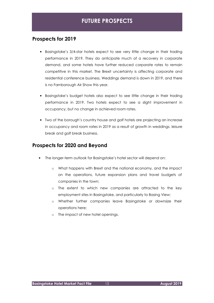## **FUTURE PROSPECTS**

## **Prospects for 2019**

- • Basingstoke's 3/4-star hotels expect to see very little change in their trading performance in 2019. They do anticipate much of a recovery in corporate demand, and some hotels have further reduced corporate rates to remain competitive in this market. The Brexit uncertainty is affecting corporate and residential conference business. Weddings demand is down in 2019, and there is no Farnborough Air Show this year.
- • Basingstoke's budget hotels also expect to see little change in their trading performance in 2019. Two hotels expect to see a slight improvement in occupancy, but no change in achieved room rates.
- • Two of the borough's country house and golf hotels are projecting an increase in occupancy and room rates in 2019 as a result of growth in weddings, leisure break and golf break business.

## **Prospects for 2020 and Beyond**

- • The longer-term outlook for Basingstoke's hotel sector will depend on:
	- o What happens with Brexit and the national economy, and the impact on the operations, future expansion plans and travel budgets of companies in the town;
	- o The extent to which new companies are attracted to the key employment sites in Basingstoke, and particularly to Basing View;
	- o Whether further companies leave Basingstoke or downsize their operations here;
	- o The impact of new hotel openings.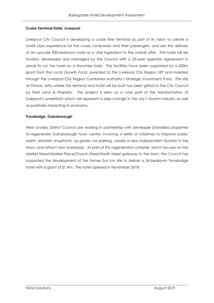#### **Cruise Terminal Hotel, Liverpool**

 Liverpool City Council is developing a cruise liner terminal as part of its vision to create a world class experience for the cruise companies and their passengers, and see the delivery of an upscale 200-bedroom hotel as a vital ingredient to the overall offer. The hotel will be funded, developed and managed by the Council with a 25-year operator agreement in place to run the hotel on a franchise basis. The facilities have been supported by a  $\pounds 20\text{m}$  grant from the Local Growth Fund, awarded to the Liverpool City Region LEP and invested through the Liverpool City Region Combined Authority's Strategic Investment Fund. The site at Princes Jetty where the terminal and hotel will be built has been gifted to the City Council by Peel Land & Property. The project is seen as a core part of the transformation of Liverpool's waterfront which will represent a step-change in the city's tourism industry as well as positively impacting its economy.

#### **Travelodge, Gainsborough**

West Lindsey District Council are working in partnership with developer Dransfield properties to regenerate Gainsborough town centre, involving a series of initiatives to improve public realm, refurbish shopfronts, up-grade car parking, create a new Independent Quarter in the town, and attract new businesses. As part of this regeneration scheme, which focuses on the Market Street/Market Place/Church Street/North street gateway to the town, the Council has supported the development of the former Sun Inn site to deliver a 56-bedroom Travelodge hotel with a grant of £1.4m. The hotel opened in November 2018.

\_\_\_\_\_\_\_\_\_\_\_\_\_\_\_\_\_\_\_\_\_\_\_\_\_\_\_\_\_\_\_\_\_\_\_\_\_\_\_\_\_\_\_\_\_\_\_\_\_\_\_\_\_\_\_\_\_\_\_\_\_\_\_\_\_\_\_\_\_\_\_\_\_\_\_\_\_\_\_\_\_\_\_\_\_\_\_\_\_\_

 $\overline{a}$